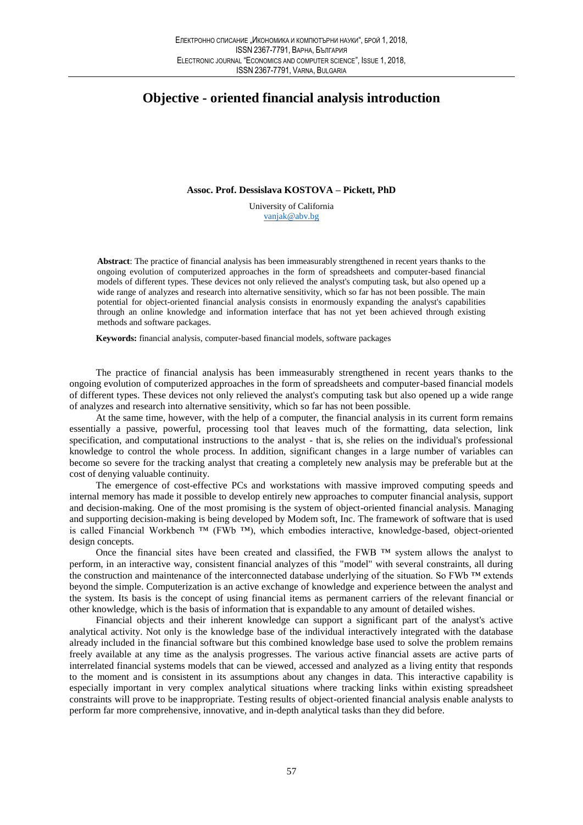## **Objective - oriented financial analysis introduction**

Assoc. Prof. Dessislava KOSTOVA - Pickett, PhD

University of California vanjak@abv.bg

Abstract: The practice of financial analysis has been immeasurably strengthened in recent years thanks to the ongoing evolution of computerized approaches in the form of spreadsheets and computer-based financial models of different types. These devices not only relieved the analyst's computing task, but also opened up a wide range of analyzes and research into alternative sensitivity, which so far has not been possible. The main potential for object-oriented financial analysis consists in enormously expanding the analyst's capabilities through an online knowledge and information interface that has not yet been achieved through existing methods and software packages.

Keywords: financial analysis, computer-based financial models, software packages

The practice of financial analysis has been immeasurably strengthened in recent years thanks to the ongoing evolution of computerized approaches in the form of spreadsheets and computer-based financial models of different types. These devices not only relieved the analyst's computing task but also opened up a wide range of analyzes and research into alternative sensitivity, which so far has not been possible.

At the same time, however, with the help of a computer, the financial analysis in its current form remains essentially a passive, powerful, processing tool that leaves much of the formatting, data selection, link specification, and computational instructions to the analyst - that is, she relies on the individual's professional knowledge to control the whole process. In addition, significant changes in a large number of variables can become so severe for the tracking analyst that creating a completely new analysis may be preferable but at the cost of denying valuable continuity.

The emergence of cost-effective PCs and workstations with massive improved computing speeds and internal memory has made it possible to develop entirely new approaches to computer financial analysis, support and decision-making. One of the most promising is the system of object-oriented financial analysis. Managing and supporting decision-making is being developed by Modem soft, Inc. The framework of software that is used is called Financial Workbench  $TM$  (FWb  $TM$ ), which embodies interactive, knowledge-based, object-oriented design concepts.

Once the financial sites have been created and classified, the FWB  $^{TM}$  system allows the analyst to perform, in an interactive way, consistent financial analyzes of this "model" with several constraints, all during the construction and maintenance of the interconnected database underlying of the situation. So FWb  $^{TM}$  extends beyond the simple. Computerization is an active exchange of knowledge and experience between the analyst and the system. Its basis is the concept of using financial items as permanent carriers of the relevant financial or other knowledge, which is the basis of information that is expandable to any amount of detailed wishes.

Financial objects and their inherent knowledge can support a significant part of the analyst's active analytical activity. Not only is the knowledge base of the individual interactively integrated with the database already included in the financial software but this combined knowledge base used to solve the problem remains freely available at any time as the analysis progresses. The various active financial assets are active parts of interrelated financial systems models that can be viewed, accessed and analyzed as a living entity that responds to the moment and is consistent in its assumptions about any changes in data. This interactive capability is especially important in very complex analytical situations where tracking links within existing spreadsheet constraints will prove to be inappropriate. Testing results of object-oriented financial analysis enable analysts to perform far more comprehensive, innovative, and in-depth analytical tasks than they did before.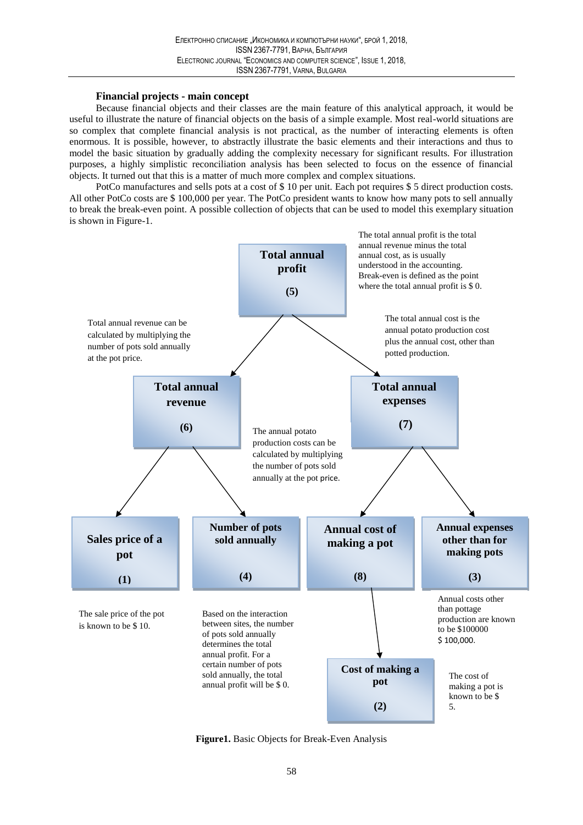## **Financial projects - main concept**

Because financial objects and their classes are the main feature of this analytical approach, it would be useful to illustrate the nature of financial objects on the basis of a simple example. Most real-world situations are so complex that complete financial analysis is not practical, as the number of interacting elements is often enormous. It is possible, however, to abstractly illustrate the basic elements and their interactions and thus to model the basic situation by gradually adding the complexity necessary for significant results. For illustration purposes, a highly simplistic reconciliation analysis has been selected to focus on the essence of financial objects. It turned out that this is a matter of much more complex and complex situations.

PotCo manufactures and sells pots at a cost of \$10 per unit. Each pot requires \$5 direct production costs. All other PotCo costs are \$100,000 per year. The PotCo president wants to know how many pots to sell annually to break the break-even point. A possible collection of objects that can be used to model this exemplary situation is shown in Figure-1.



Figure1. Basic Objects for Break-Even Analysis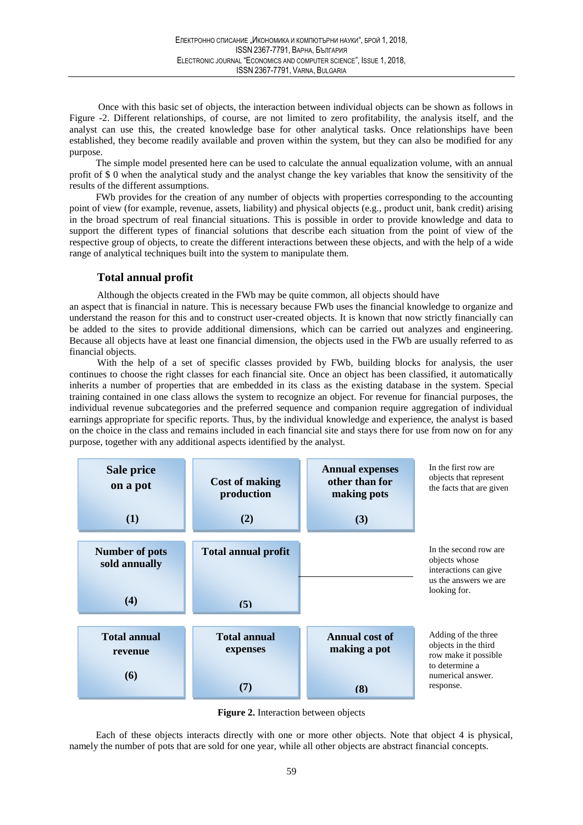Once with this basic set of objects, the interaction between individual objects can be shown as follows in Figure -2. Different relationships, of course, are not limited to zero profitability, the analysis itself, and the analyst can use this, the created knowledge base for other analytical tasks. Once relationships have been established, they become readily available and proven within the system, but they can also be modified for any purpose.

The simple model presented here can be used to calculate the annual equalization volume, with an annual profit of \$0 when the analytical study and the analyst change the key variables that know the sensitivity of the results of the different assumptions.

FWb provides for the creation of any number of objects with properties corresponding to the accounting point of view (for example, revenue, assets, liability) and physical objects (e.g., product unit, bank credit) arising in the broad spectrum of real financial situations. This is possible in order to provide knowledge and data to support the different types of financial solutions that describe each situation from the point of view of the respective group of objects, to create the different interactions between these objects, and with the help of a wide range of analytical techniques built into the system to manipulate them.

## **Total annual profit**

Although the objects created in the FWb may be quite common, all objects should have

an aspect that is financial in nature. This is necessary because FWb uses the financial knowledge to organize and understand the reason for this and to construct user-created objects. It is known that now strictly financially can be added to the sites to provide additional dimensions, which can be carried out analyzes and engineering. Because all objects have at least one financial dimension, the objects used in the FWb are usually referred to as financial objects.

With the help of a set of specific classes provided by FWb, building blocks for analysis, the user continues to choose the right classes for each financial site. Once an object has been classified, it automatically inherits a number of properties that are embedded in its class as the existing database in the system. Special training contained in one class allows the system to recognize an object. For revenue for financial purposes, the individual revenue subcategories and the preferred sequence and companion require aggregation of individual earnings appropriate for specific reports. Thus, by the individual knowledge and experience, the analyst is based on the choice in the class and remains included in each financial site and stays there for use from now on for any purpose, together with any additional aspects identified by the analyst.





Each of these objects interacts directly with one or more other objects. Note that object 4 is physical, namely the number of pots that are sold for one year, while all other objects are abstract financial concepts.